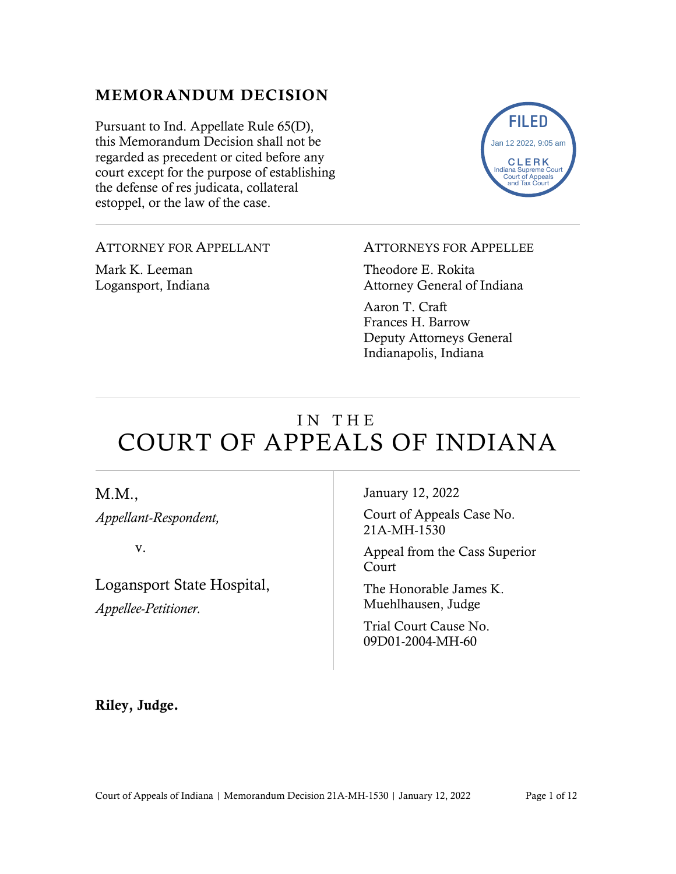## MEMORANDUM DECISION

Pursuant to Ind. Appellate Rule 65(D), this Memorandum Decision shall not be regarded as precedent or cited before any court except for the purpose of establishing the defense of res judicata, collateral estoppel, or the law of the case.



ATTORNEY FOR APPELLANT

Mark K. Leeman Logansport, Indiana

#### ATTORNEYS FOR APPELLEE

Theodore E. Rokita Attorney General of Indiana

Aaron T. Craft Frances H. Barrow Deputy Attorneys General Indianapolis, Indiana

# IN THE COURT OF APPEALS OF INDIANA

M.M.,

*Appellant-Respondent,*

v.

Logansport State Hospital, *Appellee-Petitioner.* 

January 12, 2022

Court of Appeals Case No. 21A-MH-1530

Appeal from the Cass Superior Court

The Honorable James K. Muehlhausen, Judge

Trial Court Cause No. 09D01-2004-MH-60

Riley, Judge.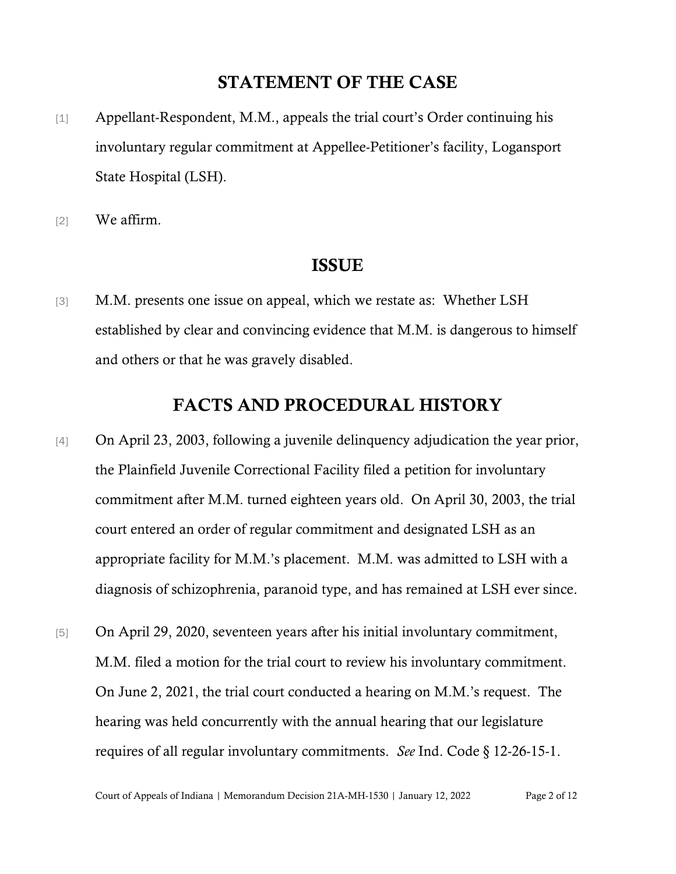## STATEMENT OF THE CASE

- [1] Appellant-Respondent, M.M., appeals the trial court's Order continuing his involuntary regular commitment at Appellee-Petitioner's facility, Logansport State Hospital (LSH).
- [2] We affirm.

#### ISSUE

[3] M.M. presents one issue on appeal, which we restate as: Whether LSH established by clear and convincing evidence that M.M. is dangerous to himself and others or that he was gravely disabled.

## FACTS AND PROCEDURAL HISTORY

- [4] On April 23, 2003, following a juvenile delinquency adjudication the year prior, the Plainfield Juvenile Correctional Facility filed a petition for involuntary commitment after M.M. turned eighteen years old. On April 30, 2003, the trial court entered an order of regular commitment and designated LSH as an appropriate facility for M.M.'s placement. M.M. was admitted to LSH with a diagnosis of schizophrenia, paranoid type, and has remained at LSH ever since.
- [5] On April 29, 2020, seventeen years after his initial involuntary commitment, M.M. filed a motion for the trial court to review his involuntary commitment. On June 2, 2021, the trial court conducted a hearing on M.M.'s request. The hearing was held concurrently with the annual hearing that our legislature requires of all regular involuntary commitments. *See* Ind. Code § 12-26-15-1.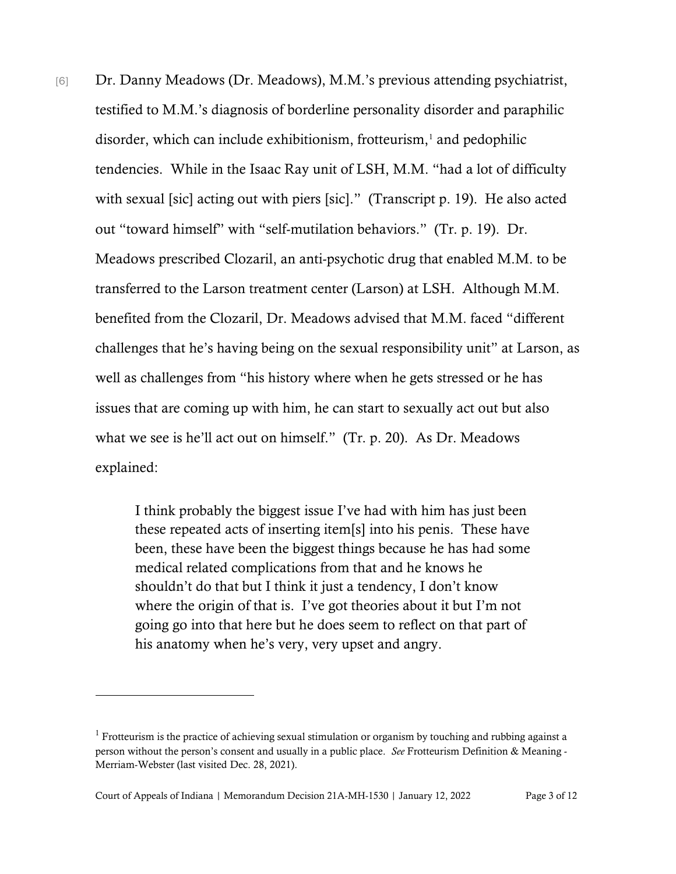[6] Dr. Danny Meadows (Dr. Meadows), M.M.'s previous attending psychiatrist, testified to M.M.'s diagnosis of borderline personality disorder and paraphilic disorder, which can include exhibitionism, frotteurism, $<sup>1</sup>$  $<sup>1</sup>$  $<sup>1</sup>$  and pedophilic</sup> tendencies. While in the Isaac Ray unit of LSH, M.M. "had a lot of difficulty with sexual [sic] acting out with piers [sic]." (Transcript p. 19). He also acted out "toward himself" with "self-mutilation behaviors." (Tr. p. 19). Dr. Meadows prescribed Clozaril, an anti-psychotic drug that enabled M.M. to be transferred to the Larson treatment center (Larson) at LSH. Although M.M. benefited from the Clozaril, Dr. Meadows advised that M.M. faced "different challenges that he's having being on the sexual responsibility unit" at Larson, as well as challenges from "his history where when he gets stressed or he has issues that are coming up with him, he can start to sexually act out but also what we see is he'll act out on himself." (Tr. p. 20). As Dr. Meadows explained:

> I think probably the biggest issue I've had with him has just been these repeated acts of inserting item[s] into his penis. These have been, these have been the biggest things because he has had some medical related complications from that and he knows he shouldn't do that but I think it just a tendency, I don't know where the origin of that is. I've got theories about it but I'm not going go into that here but he does seem to reflect on that part of his anatomy when he's very, very upset and angry.

<span id="page-2-0"></span><sup>&</sup>lt;sup>1</sup> Frotteurism is the practice of achieving sexual stimulation or organism by touching and rubbing against a person without the person's consent and usually in a public place. *See* [Frotteurism Definition & Meaning -](https://www.merriam-webster.com/medical/frotteurism) [Merriam-Webster](https://www.merriam-webster.com/medical/frotteurism) (last visited Dec. 28, 2021).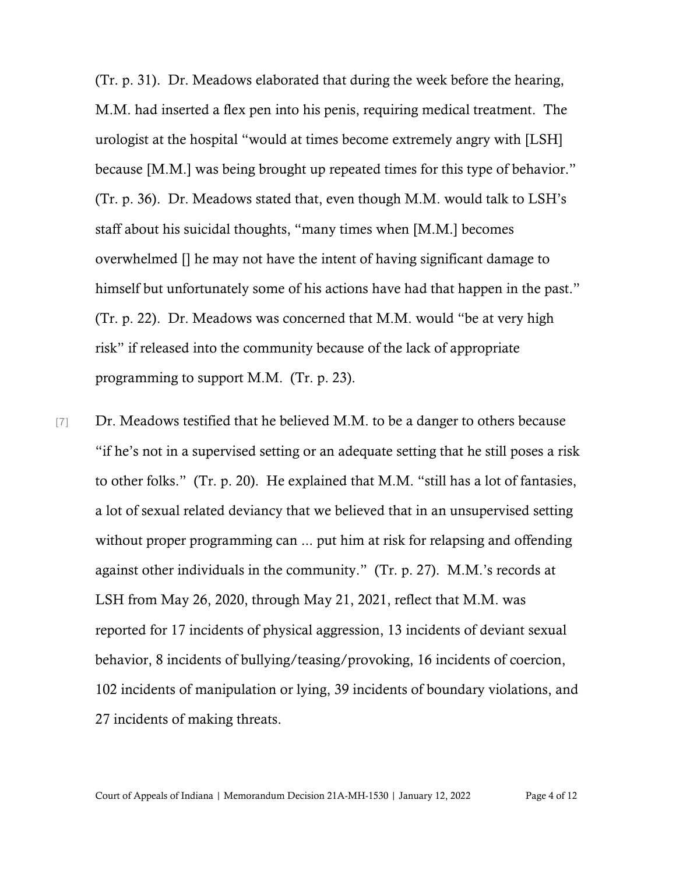(Tr. p. 31). Dr. Meadows elaborated that during the week before the hearing, M.M. had inserted a flex pen into his penis, requiring medical treatment. The urologist at the hospital "would at times become extremely angry with [LSH] because [M.M.] was being brought up repeated times for this type of behavior." (Tr. p. 36). Dr. Meadows stated that, even though M.M. would talk to LSH's staff about his suicidal thoughts, "many times when [M.M.] becomes overwhelmed [] he may not have the intent of having significant damage to himself but unfortunately some of his actions have had that happen in the past." (Tr. p. 22). Dr. Meadows was concerned that M.M. would "be at very high risk" if released into the community because of the lack of appropriate programming to support M.M. (Tr. p. 23).

[7] Dr. Meadows testified that he believed M.M. to be a danger to others because "if he's not in a supervised setting or an adequate setting that he still poses a risk to other folks." (Tr. p. 20). He explained that M.M. "still has a lot of fantasies, a lot of sexual related deviancy that we believed that in an unsupervised setting without proper programming can ... put him at risk for relapsing and offending against other individuals in the community." (Tr. p. 27). M.M.'s records at LSH from May 26, 2020, through May 21, 2021, reflect that M.M. was reported for 17 incidents of physical aggression, 13 incidents of deviant sexual behavior, 8 incidents of bullying/teasing/provoking, 16 incidents of coercion, 102 incidents of manipulation or lying, 39 incidents of boundary violations, and 27 incidents of making threats.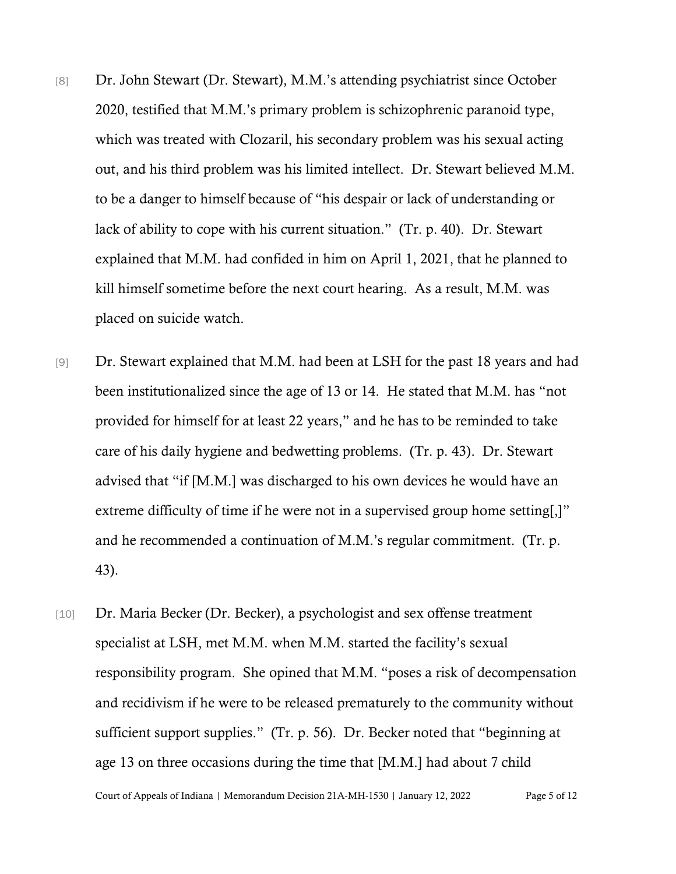- [8] Dr. John Stewart (Dr. Stewart), M.M.'s attending psychiatrist since October 2020, testified that M.M.'s primary problem is schizophrenic paranoid type, which was treated with Clozaril, his secondary problem was his sexual acting out, and his third problem was his limited intellect. Dr. Stewart believed M.M. to be a danger to himself because of "his despair or lack of understanding or lack of ability to cope with his current situation." (Tr. p. 40). Dr. Stewart explained that M.M. had confided in him on April 1, 2021, that he planned to kill himself sometime before the next court hearing. As a result, M.M. was placed on suicide watch.
- [9] Dr. Stewart explained that M.M. had been at LSH for the past 18 years and had been institutionalized since the age of 13 or 14. He stated that M.M. has "not provided for himself for at least 22 years," and he has to be reminded to take care of his daily hygiene and bedwetting problems. (Tr. p. 43). Dr. Stewart advised that "if [M.M.] was discharged to his own devices he would have an extreme difficulty of time if he were not in a supervised group home setting[,]" and he recommended a continuation of M.M.'s regular commitment. (Tr. p. 43).
- Court of Appeals of Indiana | Memorandum Decision 21A-MH-1530 | January 12, 2022 Page 5 of 12 [10] Dr. Maria Becker (Dr. Becker), a psychologist and sex offense treatment specialist at LSH, met M.M. when M.M. started the facility's sexual responsibility program. She opined that M.M. "poses a risk of decompensation and recidivism if he were to be released prematurely to the community without sufficient support supplies." (Tr. p. 56). Dr. Becker noted that "beginning at age 13 on three occasions during the time that [M.M.] had about 7 child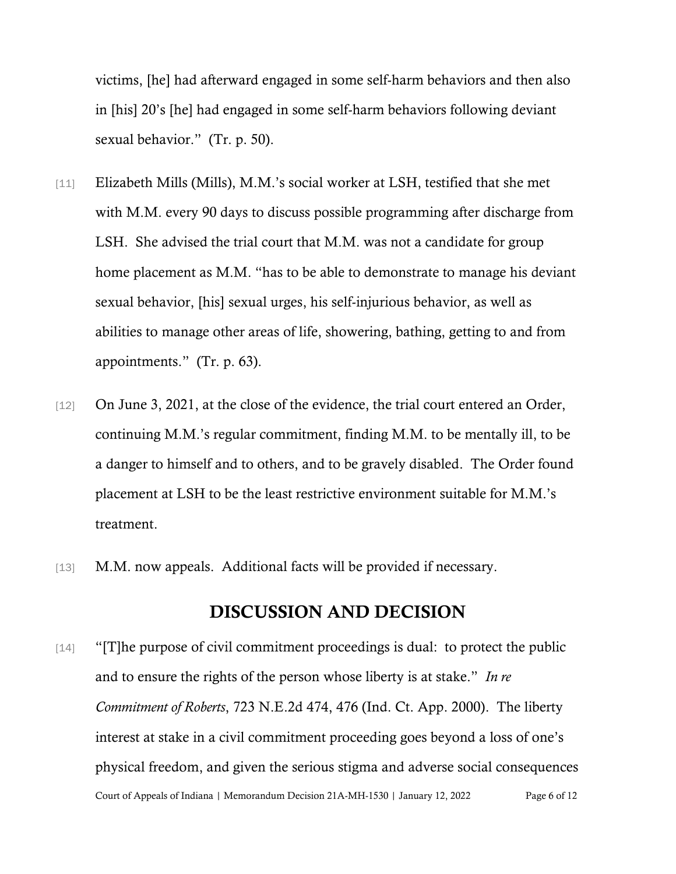victims, [he] had afterward engaged in some self-harm behaviors and then also in [his] 20's [he] had engaged in some self-harm behaviors following deviant sexual behavior." (Tr. p. 50).

- [11] Elizabeth Mills (Mills), M.M.'s social worker at LSH, testified that she met with M.M. every 90 days to discuss possible programming after discharge from LSH. She advised the trial court that M.M. was not a candidate for group home placement as M.M. "has to be able to demonstrate to manage his deviant sexual behavior, [his] sexual urges, his self-injurious behavior, as well as abilities to manage other areas of life, showering, bathing, getting to and from appointments." (Tr. p. 63).
- [12] On June 3, 2021, at the close of the evidence, the trial court entered an Order, continuing M.M.'s regular commitment, finding M.M. to be mentally ill, to be a danger to himself and to others, and to be gravely disabled. The Order found placement at LSH to be the least restrictive environment suitable for M.M.'s treatment.
- [13] M.M. now appeals. Additional facts will be provided if necessary.

## DISCUSSION AND DECISION

Court of Appeals of Indiana | Memorandum Decision 21A-MH-1530 | January 12, 2022 Page 6 of 12 [14] "[T]he purpose of civil commitment proceedings is dual: to protect the public and to ensure the rights of the person whose liberty is at stake." *In re Commitment of Roberts*, 723 N.E.2d 474, 476 (Ind. Ct. App. 2000). The liberty interest at stake in a civil commitment proceeding goes beyond a loss of one's physical freedom, and given the serious stigma and adverse social consequences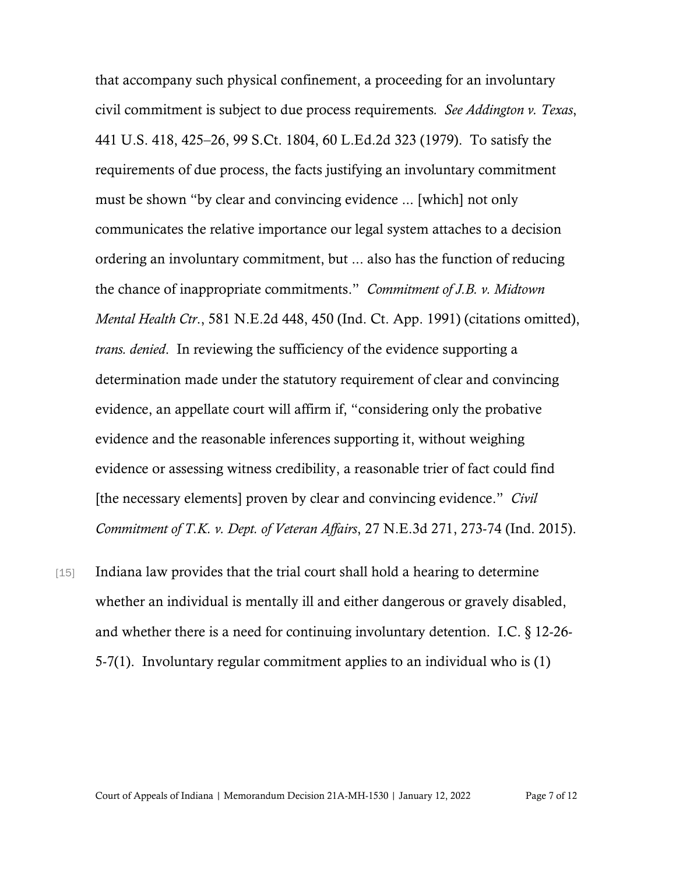that accompany such physical confinement, a proceeding for an involuntary civil commitment is subject to due process requirements*. See Addington v. Texas*, 441 U.S. 418, 425–26, 99 S.Ct. 1804, 60 L.Ed.2d 323 (1979). To satisfy the requirements of due process, the facts justifying an involuntary commitment must be shown "by clear and convincing evidence ... [which] not only communicates the relative importance our legal system attaches to a decision ordering an involuntary commitment, but ... also has the function of reducing the chance of inappropriate commitments." *Commitment of J.B. v. Midtown Mental Health Ctr*., 581 N.E.2d 448, 450 (Ind. Ct. App. 1991) (citations omitted), *trans. denied*. In reviewing the sufficiency of the evidence supporting a determination made under the statutory requirement of clear and convincing evidence, an appellate court will affirm if, "considering only the probative evidence and the reasonable inferences supporting it, without weighing evidence or assessing witness credibility, a reasonable trier of fact could find [the necessary elements] proven by clear and convincing evidence." *Civil Commitment of T.K. v. Dept. of Veteran Affairs*, 27 N.E.3d 271, 273-74 (Ind. 2015).

[15] Indiana law provides that the trial court shall hold a hearing to determine whether an individual is mentally ill and either dangerous or gravely disabled, and whether there is a need for continuing involuntary detention. I.C. § 12-26- 5-7(1). Involuntary regular commitment applies to an individual who is (1)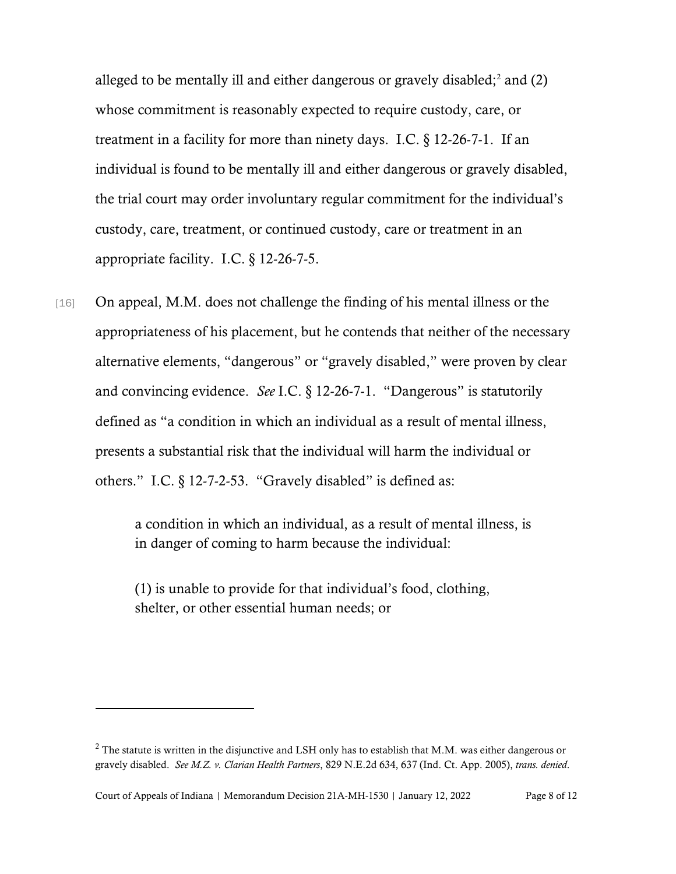alleged to be mentally ill and either dangerous or gravely disabled;<sup>[2](#page-7-0)</sup> and  $(2)$ whose commitment is reasonably expected to require custody, care, or treatment in a facility for more than ninety days. I.C. § 12-26-7-1. If an individual is found to be mentally ill and either dangerous or gravely disabled, the trial court may order involuntary regular commitment for the individual's custody, care, treatment, or continued custody, care or treatment in an appropriate facility. I.C. § 12-26-7-5.

[16] On appeal, M.M. does not challenge the finding of his mental illness or the appropriateness of his placement, but he contends that neither of the necessary alternative elements, "dangerous" or "gravely disabled," were proven by clear and convincing evidence. *See* I.C. § 12-26-7-1. "Dangerous" is statutorily defined as "a condition in which an individual as a result of mental illness, presents a substantial risk that the individual will harm the individual or others." I.C. § 12-7-2-53. "Gravely disabled" is defined as:

> a condition in which an individual, as a result of mental illness, is in danger of coming to harm because the individual:

(1) is unable to provide for that individual's food, clothing, shelter, or other essential human needs; or

<span id="page-7-0"></span> $2$  The statute is written in the disjunctive and LSH only has to establish that M.M. was either dangerous or gravely disabled. *See M.Z. v. Clarian Health Partners*, 829 N.E.2d 634, 637 (Ind. Ct. App. 2005), *trans. denied*.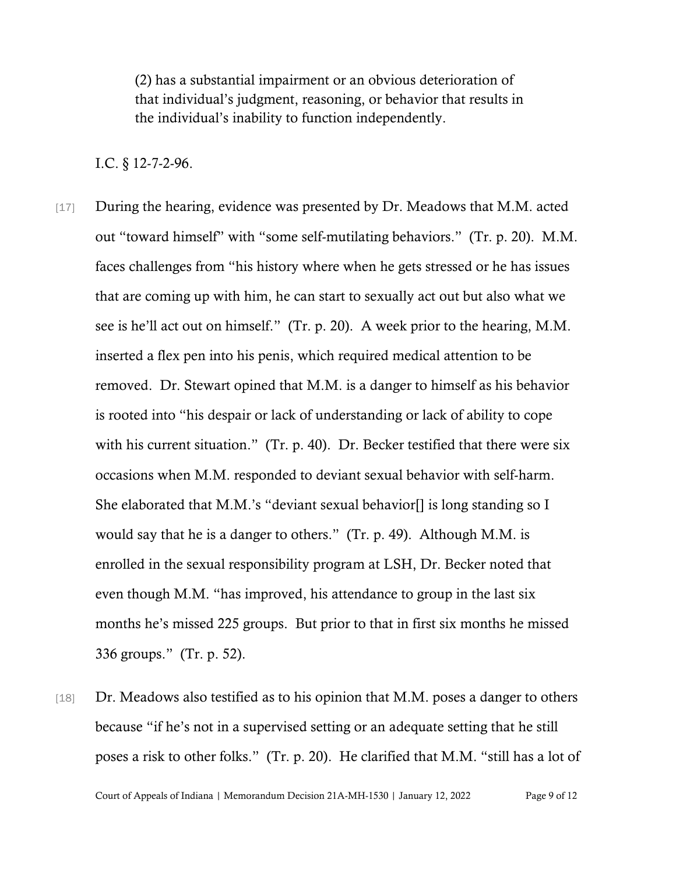(2) has a substantial impairment or an obvious deterioration of that individual's judgment, reasoning, or behavior that results in the individual's inability to function independently.

I.C. § 12-7-2-96.

- [17] During the hearing, evidence was presented by Dr. Meadows that M.M. acted out "toward himself" with "some self-mutilating behaviors." (Tr. p. 20). M.M. faces challenges from "his history where when he gets stressed or he has issues that are coming up with him, he can start to sexually act out but also what we see is he'll act out on himself." (Tr. p. 20). A week prior to the hearing, M.M. inserted a flex pen into his penis, which required medical attention to be removed. Dr. Stewart opined that M.M. is a danger to himself as his behavior is rooted into "his despair or lack of understanding or lack of ability to cope with his current situation." (Tr. p. 40). Dr. Becker testified that there were six occasions when M.M. responded to deviant sexual behavior with self-harm. She elaborated that M.M.'s "deviant sexual behavior[] is long standing so I would say that he is a danger to others." (Tr. p. 49). Although M.M. is enrolled in the sexual responsibility program at LSH, Dr. Becker noted that even though M.M. "has improved, his attendance to group in the last six months he's missed 225 groups. But prior to that in first six months he missed 336 groups." (Tr. p. 52).
- [18] Dr. Meadows also testified as to his opinion that M.M. poses a danger to others because "if he's not in a supervised setting or an adequate setting that he still poses a risk to other folks." (Tr. p. 20). He clarified that M.M. "still has a lot of

Court of Appeals of Indiana | Memorandum Decision 21A-MH-1530 | January 12, 2022 Page 9 of 12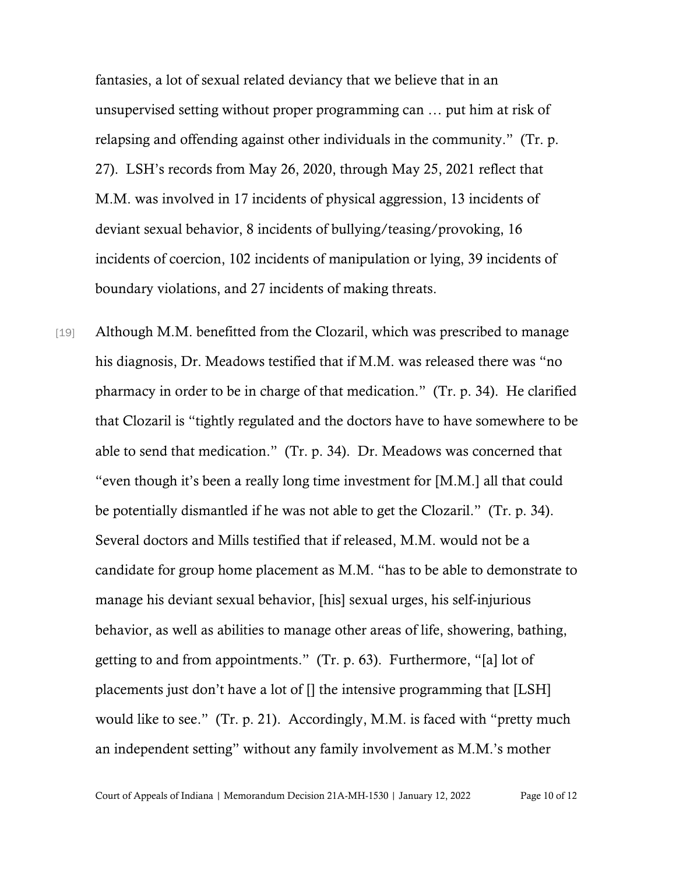fantasies, a lot of sexual related deviancy that we believe that in an unsupervised setting without proper programming can … put him at risk of relapsing and offending against other individuals in the community." (Tr. p. 27). LSH's records from May 26, 2020, through May 25, 2021 reflect that M.M. was involved in 17 incidents of physical aggression, 13 incidents of deviant sexual behavior, 8 incidents of bullying/teasing/provoking, 16 incidents of coercion, 102 incidents of manipulation or lying, 39 incidents of boundary violations, and 27 incidents of making threats.

[19] Although M.M. benefitted from the Clozaril, which was prescribed to manage his diagnosis, Dr. Meadows testified that if M.M. was released there was "no pharmacy in order to be in charge of that medication." (Tr. p. 34). He clarified that Clozaril is "tightly regulated and the doctors have to have somewhere to be able to send that medication." (Tr. p. 34). Dr. Meadows was concerned that "even though it's been a really long time investment for [M.M.] all that could be potentially dismantled if he was not able to get the Clozaril." (Tr. p. 34). Several doctors and Mills testified that if released, M.M. would not be a candidate for group home placement as M.M. "has to be able to demonstrate to manage his deviant sexual behavior, [his] sexual urges, his self-injurious behavior, as well as abilities to manage other areas of life, showering, bathing, getting to and from appointments." (Tr. p. 63). Furthermore, "[a] lot of placements just don't have a lot of [] the intensive programming that [LSH] would like to see." (Tr. p. 21). Accordingly, M.M. is faced with "pretty much an independent setting" without any family involvement as M.M.'s mother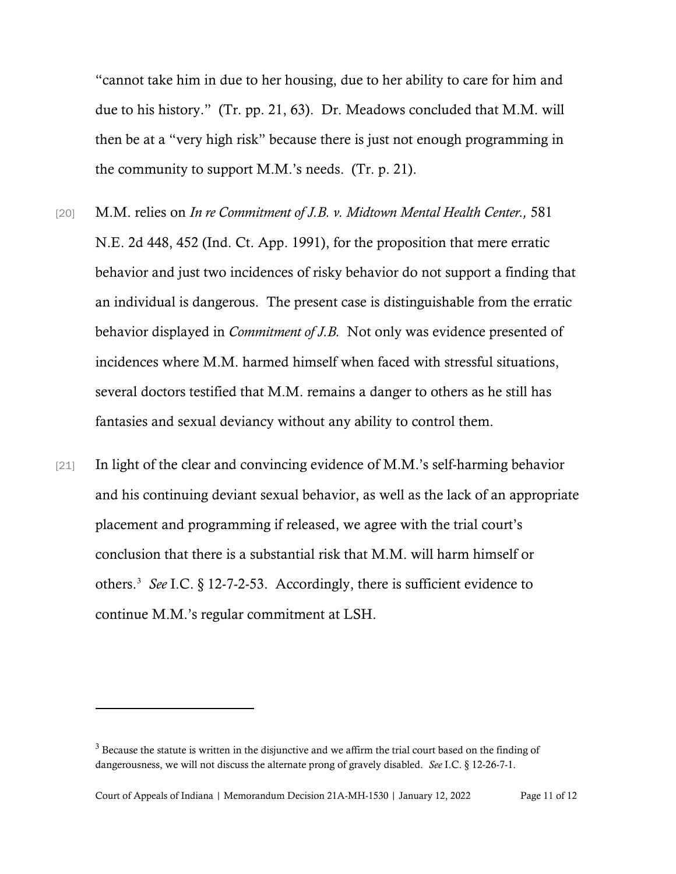"cannot take him in due to her housing, due to her ability to care for him and due to his history." (Tr. pp. 21, 63). Dr. Meadows concluded that M.M. will then be at a "very high risk" because there is just not enough programming in the community to support M.M.'s needs. (Tr. p. 21).

- [20] M.M. relies on *In re Commitment of J.B. v. Midtown Mental Health Center.,* 581 N.E. 2d 448, 452 (Ind. Ct. App. 1991), for the proposition that mere erratic behavior and just two incidences of risky behavior do not support a finding that an individual is dangerous. The present case is distinguishable from the erratic behavior displayed in *Commitment of J.B.* Not only was evidence presented of incidences where M.M. harmed himself when faced with stressful situations, several doctors testified that M.M. remains a danger to others as he still has fantasies and sexual deviancy without any ability to control them.
- [21] In light of the clear and convincing evidence of M.M.'s self-harming behavior and his continuing deviant sexual behavior, as well as the lack of an appropriate placement and programming if released, we agree with the trial court's conclusion that there is a substantial risk that M.M. will harm himself or others. [3](#page-10-0) *See* I.C. § 12-7-2-53. Accordingly, there is sufficient evidence to continue M.M.'s regular commitment at LSH.

<span id="page-10-0"></span><sup>&</sup>lt;sup>3</sup> Because the statute is written in the disjunctive and we affirm the trial court based on the finding of dangerousness, we will not discuss the alternate prong of gravely disabled. *See* I.C. § 12-26-7-1.